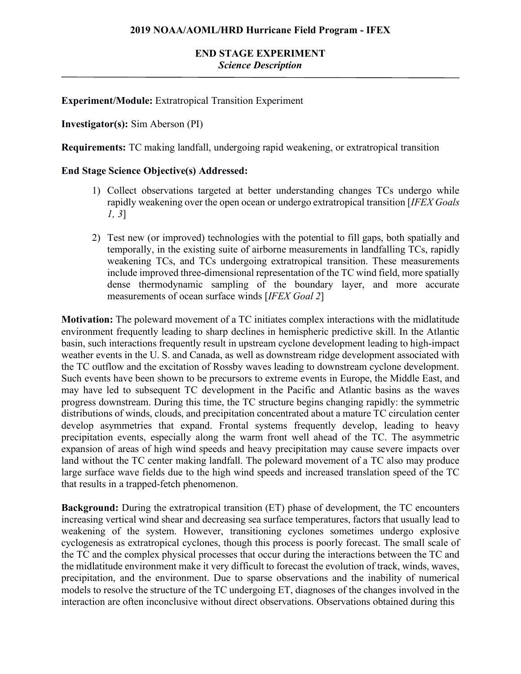### **Experiment/Module:** Extratropical Transition Experiment

### **Investigator(s):** Sim Aberson (PI)

**Requirements:** TC making landfall, undergoing rapid weakening, or extratropical transition

#### **End Stage Science Objective(s) Addressed:**

- 1) Collect observations targeted at better understanding changes TCs undergo while rapidly weakening over the open ocean or undergo extratropical transition [*IFEX Goals 1, 3*]
- 2) Test new (or improved) technologies with the potential to fill gaps, both spatially and temporally, in the existing suite of airborne measurements in landfalling TCs, rapidly weakening TCs, and TCs undergoing extratropical transition. These measurements include improved three-dimensional representation of the TC wind field, more spatially dense thermodynamic sampling of the boundary layer, and more accurate measurements of ocean surface winds [*IFEX Goal 2*]

**Motivation:** The poleward movement of a TC initiates complex interactions with the midlatitude environment frequently leading to sharp declines in hemispheric predictive skill. In the Atlantic basin, such interactions frequently result in upstream cyclone development leading to high-impact weather events in the U. S. and Canada, as well as downstream ridge development associated with the TC outflow and the excitation of Rossby waves leading to downstream cyclone development. Such events have been shown to be precursors to extreme events in Europe, the Middle East, and may have led to subsequent TC development in the Pacific and Atlantic basins as the waves progress downstream. During this time, the TC structure begins changing rapidly: the symmetric distributions of winds, clouds, and precipitation concentrated about a mature TC circulation center develop asymmetries that expand. Frontal systems frequently develop, leading to heavy precipitation events, especially along the warm front well ahead of the TC. The asymmetric expansion of areas of high wind speeds and heavy precipitation may cause severe impacts over land without the TC center making landfall. The poleward movement of a TC also may produce large surface wave fields due to the high wind speeds and increased translation speed of the TC that results in a trapped-fetch phenomenon.

**Background:** During the extratropical transition (ET) phase of development, the TC encounters increasing vertical wind shear and decreasing sea surface temperatures, factors that usually lead to weakening of the system. However, transitioning cyclones sometimes undergo explosive cyclogenesis as extratropical cyclones, though this process is poorly forecast. The small scale of the TC and the complex physical processes that occur during the interactions between the TC and the midlatitude environment make it very difficult to forecast the evolution of track, winds, waves, precipitation, and the environment. Due to sparse observations and the inability of numerical models to resolve the structure of the TC undergoing ET, diagnoses of the changes involved in the interaction are often inconclusive without direct observations. Observations obtained during this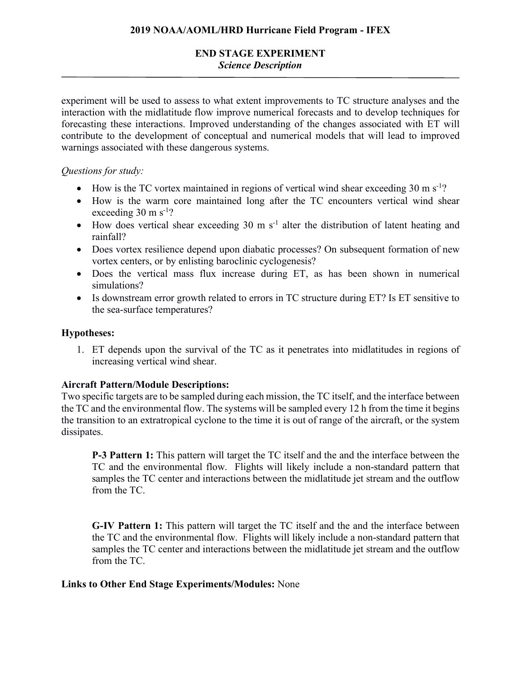# **END STAGE EXPERIMENT** *Science Description*

experiment will be used to assess to what extent improvements to TC structure analyses and the interaction with the midlatitude flow improve numerical forecasts and to develop techniques for forecasting these interactions. Improved understanding of the changes associated with ET will contribute to the development of conceptual and numerical models that will lead to improved warnings associated with these dangerous systems.

# *Questions for study:*

- How is the TC vortex maintained in regions of vertical wind shear exceeding 30 m s<sup>-1</sup>?
- How is the warm core maintained long after the TC encounters vertical wind shear exceeding  $30 \text{ m s}^{-1}$ ?
- How does vertical shear exceeding  $30 \text{ m s}^{-1}$  alter the distribution of latent heating and rainfall?
- Does vortex resilience depend upon diabatic processes? On subsequent formation of new vortex centers, or by enlisting baroclinic cyclogenesis?
- Does the vertical mass flux increase during ET, as has been shown in numerical simulations?
- Is downstream error growth related to errors in TC structure during ET? Is ET sensitive to the sea-surface temperatures?

## **Hypotheses:**

1. ET depends upon the survival of the TC as it penetrates into midlatitudes in regions of increasing vertical wind shear.

# **Aircraft Pattern/Module Descriptions:**

Two specific targets are to be sampled during each mission, the TC itself, and the interface between the TC and the environmental flow. The systems will be sampled every 12 h from the time it begins the transition to an extratropical cyclone to the time it is out of range of the aircraft, or the system dissipates.

**P-3 Pattern 1:** This pattern will target the TC itself and the and the interface between the TC and the environmental flow. Flights will likely include a non-standard pattern that samples the TC center and interactions between the midlatitude jet stream and the outflow from the TC.

**G-IV Pattern 1:** This pattern will target the TC itself and the and the interface between the TC and the environmental flow. Flights will likely include a non-standard pattern that samples the TC center and interactions between the midlatitude jet stream and the outflow from the TC.

### **Links to Other End Stage Experiments/Modules:** None